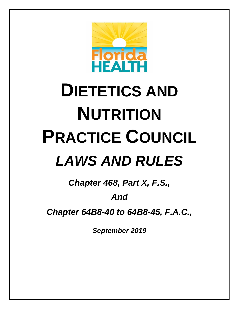

# **DIETETICS AND NUTRITION PRACTICE COUNCIL** *LAWS AND RULES*

*Chapter 468, Part X, F.S.,* 

### *And*

*Chapter 64B8-40 to 64B8-45, F.A.C.,*

*September 2019*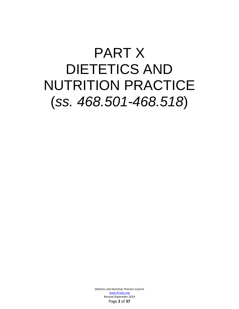### PART X DIETETICS AND NUTRITION PRACTICE (*ss. 468.501-468.518*)

*Dietetics and Nutrition Practice Council*  [www.flrules.org](http://www.flrules.org/) *Revised September 2019* Page **2** of **37**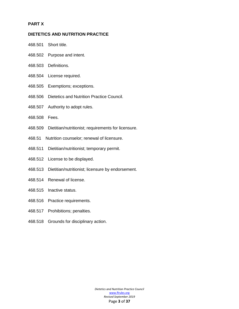#### **PART X**

#### **DIETETICS AND NUTRITION PRACTICE**

- 468.501 Short title.
- 468.502 Purpose and intent.
- 468.503 Definitions.
- 468.504 License required.
- 468.505 Exemptions; exceptions.
- 468.506 Dietetics and Nutrition Practice Council.
- 468.507 Authority to adopt rules.
- 468.508 Fees.
- 468.509 Dietitian/nutritionist; requirements for licensure.
- 468.51 Nutrition counselor; renewal of licensure.
- 468.511 Dietitian/nutritionist; temporary permit.
- 468.512 License to be displayed.
- 468.513 Dietitian/nutritionist; licensure by endorsement.
- 468.514 Renewal of license.
- 468.515 Inactive status.
- 468.516 Practice requirements.
- 468.517 Prohibitions; penalties.
- 468.518 Grounds for disciplinary action.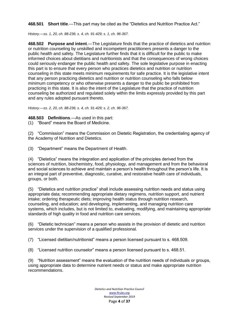**468.501 Short title**.—This part may be cited as the "Dietetics and Nutrition Practice Act."

*History.—ss. 1, 20, ch. 88-236; s. 4, ch. 91-429; s. 1, ch. 96-367.*

**468.502 Purpose and intent**.—The Legislature finds that the practice of dietetics and nutrition or nutrition counseling by unskilled and incompetent practitioners presents a danger to the public health and safety. The Legislature further finds that it is difficult for the public to make informed choices about dietitians and nutritionists and that the consequences of wrong choices could seriously endanger the public health and safety. The sole legislative purpose in enacting this part is to ensure that every person who practices dietetics and nutrition or nutrition counseling in this state meets minimum requirements for safe practice. It is the legislative intent that any person practicing dietetics and nutrition or nutrition counseling who falls below minimum competency or who otherwise presents a danger to the public be prohibited from practicing in this state. It is also the intent of the Legislature that the practice of nutrition counseling be authorized and regulated solely within the limits expressly provided by this part and any rules adopted pursuant thereto.

*History.—ss. 2, 20, ch. 88-236; s. 4, ch. 91-429; s. 2, ch. 96-367.*

**468.503 Definitions**.—As used in this part:

(1) "Board" means the Board of Medicine.

(2) "Commission" means the Commission on Dietetic Registration, the credentialing agency of the Academy of Nutrition and Dietetics.

(3) "Department" means the Department of Health.

(4) "Dietetics" means the integration and application of the principles derived from the sciences of nutrition, biochemistry, food, physiology, and management and from the behavioral and social sciences to achieve and maintain a person's health throughout the person's life. It is an integral part of preventive, diagnostic, curative, and restorative health care of individuals, groups, or both.

(5) "Dietetics and nutrition practice" shall include assessing nutrition needs and status using appropriate data; recommending appropriate dietary regimens, nutrition support, and nutrient intake; ordering therapeutic diets; improving health status through nutrition research, counseling, and education; and developing, implementing, and managing nutrition care systems, which includes, but is not limited to, evaluating, modifying, and maintaining appropriate standards of high quality in food and nutrition care services.

(6) "Dietetic technician" means a person who assists in the provision of dietetic and nutrition services under the supervision of a qualified professional.

(7) "Licensed dietitian/nutritionist" means a person licensed pursuant to s. 468.509.

(8) "Licensed nutrition counselor" means a person licensed pursuant to s. 468.51.

(9) "Nutrition assessment" means the evaluation of the nutrition needs of individuals or groups, using appropriate data to determine nutrient needs or status and make appropriate nutrition recommendations.

> *Dietetics and Nutrition Practice Council*  [www.flrules.org](http://www.flrules.org/) *Revised September 2019* Page **4** of **37**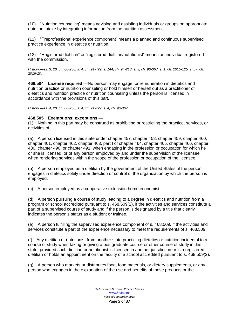(10) "Nutrition counseling" means advising and assisting individuals or groups on appropriate nutrition intake by integrating information from the nutrition assessment.

(11) "Preprofessional experience component" means a planned and continuous supervised practice experience in dietetics or nutrition.

(12) "Registered dietitian" or "registered dietitian/nutritionist" means an individual registered with the commission.

*History.—ss. 3, 20, ch. 88-236; s. 4, ch. 91-429; s. 144, ch. 94-218; s. 3, ch. 96-367; s. 1, ch. 2015-125; s. 57, ch. 2016-10.*

**468.504 License required**.—No person may engage for remuneration in dietetics and nutrition practice or nutrition counseling or hold himself or herself out as a practitioner of dietetics and nutrition practice or nutrition counseling unless the person is licensed in accordance with the provisions of this part.

*History.—ss. 4, 20, ch. 88-236; s. 4, ch. 91-429; s. 4, ch. 96-367.*

#### **468.505 Exemptions; exceptions**.—

(1) Nothing in this part may be construed as prohibiting or restricting the practice, services, or activities of:

(a) A person licensed in this state under chapter 457, chapter 458, chapter 459, chapter 460, chapter 461, chapter 462, chapter 463, part I of chapter 464, chapter 465, chapter 466, chapter 480, chapter 490, or chapter 491, when engaging in the profession or occupation for which he or she is licensed, or of any person employed by and under the supervision of the licensee when rendering services within the scope of the profession or occupation of the licensee.

(b) A person employed as a dietitian by the government of the United States, if the person engages in dietetics solely under direction or control of the organization by which the person is employed.

(c) A person employed as a cooperative extension home economist.

(d) A person pursuing a course of study leading to a degree in dietetics and nutrition from a program or school accredited pursuant to s. 468.509(2), if the activities and services constitute a part of a supervised course of study and if the person is designated by a title that clearly indicates the person's status as a student or trainee.

(e) A person fulfilling the supervised experience component of s. 468.509, if the activities and services constitute a part of the experience necessary to meet the requirements of s. 468.509.

(f) Any dietitian or nutritionist from another state practicing dietetics or nutrition incidental to a course of study when taking or giving a postgraduate course or other course of study in this state, provided such dietitian or nutritionist is licensed in another jurisdiction or is a registered dietitian or holds an appointment on the faculty of a school accredited pursuant to s. 468.509(2).

(g) A person who markets or distributes food, food materials, or dietary supplements, or any person who engages in the explanation of the use and benefits of those products or the

> *Dietetics and Nutrition Practice Council*  [www.flrules.org](http://www.flrules.org/) *Revised September 2019* Page **5** of **37**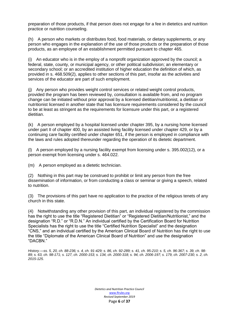preparation of those products, if that person does not engage for a fee in dietetics and nutrition practice or nutrition counseling.

(h) A person who markets or distributes food, food materials, or dietary supplements, or any person who engages in the explanation of the use of those products or the preparation of those products, as an employee of an establishment permitted pursuant to chapter 465.

(i) An educator who is in the employ of a nonprofit organization approved by the council; a federal, state, county, or municipal agency, or other political subdivision; an elementary or secondary school; or an accredited institution of higher education the definition of which, as provided in s. 468.509(2), applies to other sections of this part, insofar as the activities and services of the educator are part of such employment.

(j) Any person who provides weight control services or related weight control products, provided the program has been reviewed by, consultation is available from, and no program change can be initiated without prior approval by a licensed dietitian/nutritionist, a dietitian or nutritionist licensed in another state that has licensure requirements considered by the council to be at least as stringent as the requirements for licensure under this part, or a registered dietitian.

(k) A person employed by a hospital licensed under chapter 395, by a nursing home licensed under part II of chapter 400, by an assisted living facility licensed under chapter 429, or by a continuing care facility certified under chapter 651, if the person is employed in compliance with the laws and rules adopted thereunder regarding the operation of its dietetic department.

(l) A person employed by a nursing facility exempt from licensing under s. 395.002(12), or a person exempt from licensing under s. 464.022.

(m) A person employed as a dietetic technician.

(2) Nothing in this part may be construed to prohibit or limit any person from the free dissemination of information, or from conducting a class or seminar or giving a speech, related to nutrition.

(3) The provisions of this part have no application to the practice of the religious tenets of any church in this state.

(4) Notwithstanding any other provision of this part, an individual registered by the commission has the right to use the title "Registered Dietitian" or "Registered Dietitian/Nutritionist," and the designation "R.D." or "R.D.N." An individual certified by the Certification Board for Nutrition Specialists has the right to use the title "Certified Nutrition Specialist" and the designation "CNS," and an individual certified by the American Clinical Board of Nutrition has the right to use the title "Diplomate of the American Clinical Board of Nutrition" and use the designation "DACBN."

*History.—ss. 5, 20, ch. 88-236; s. 4, ch. 91-429; s. 86, ch. 92-289; s. 41, ch. 95-210; s. 5, ch. 96-367; s. 39, ch. 98- 89; s. 63, ch. 98-171; s. 127, ch. 2000-153; s. 134, ch. 2000-318; s. 94, ch. 2006-197; s. 179, ch. 2007-230; s. 2, ch. 2015-125.*

> *Dietetics and Nutrition Practice Council*  [www.flrules.org](http://www.flrules.org/) *Revised September 2019* Page **6** of **37**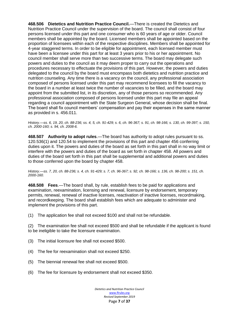**468.506 Dietetics and Nutrition Practice Council.**—There is created the Dietetics and Nutrition Practice Council under the supervision of the board. The council shall consist of four persons licensed under this part and one consumer who is 60 years of age or older. Council members shall be appointed by the board. Licensed members shall be appointed based on the proportion of licensees within each of the respective disciplines. Members shall be appointed for 4-year staggered terms. In order to be eligible for appointment, each licensed member must have been a licensee under this part for at least 3 years prior to his or her appointment. No council member shall serve more than two successive terms. The board may delegate such powers and duties to the council as it may deem proper to carry out the operations and procedures necessary to effectuate the provisions of this part. However, the powers and duties delegated to the council by the board must encompass both dietetics and nutrition practice and nutrition counseling. Any time there is a vacancy on the council, any professional association composed of persons licensed under this part may recommend licensees to fill the vacancy to the board in a number at least twice the number of vacancies to be filled, and the board may appoint from the submitted list, in its discretion, any of those persons so recommended. Any professional association composed of persons licensed under this part may file an appeal regarding a council appointment with the State Surgeon General, whose decision shall be final. The board shall fix council members' compensation and pay their expenses in the same manner as provided in s. 456.011.

*History.—ss. 6, 19, 20, ch. 88-236; ss. 4, 5, ch. 91-429; s. 6, ch. 96-367; s. 91, ch. 98-166; s. 130, ch. 99-397; s. 150, ch. 2000-160; s. 94, ch. 2008-6.*

**468.507 Authority to adopt rules**.—The board has authority to adopt rules pursuant to ss. 120.536(1) and 120.54 to implement the provisions of this part and chapter 456 conferring duties upon it. The powers and duties of the board as set forth in this part shall in no way limit or interfere with the powers and duties of the board as set forth in chapter 458. All powers and duties of the board set forth in this part shall be supplemental and additional powers and duties to those conferred upon the board by chapter 458.

*History.—ss. 7, 20, ch. 88-236; s. 4, ch. 91-429; s. 7, ch. 96-367; s. 92, ch. 98-166; s. 136, ch. 98-200; s. 151, ch. 2000-160.*

**468.508 Fees**.—The board shall, by rule, establish fees to be paid for applications and examination, reexamination, licensing and renewal, licensure by endorsement, temporary permits, renewal, renewal of inactive licenses, reactivation of inactive licenses, recordmaking, and recordkeeping. The board shall establish fees which are adequate to administer and implement the provisions of this part.

(1) The application fee shall not exceed \$100 and shall not be refundable.

(2) The examination fee shall not exceed \$500 and shall be refundable if the applicant is found to be ineligible to take the licensure examination.

- (3) The initial licensure fee shall not exceed \$500.
- (4) The fee for reexamination shall not exceed \$250.
- (5) The biennial renewal fee shall not exceed \$500.
- (6) The fee for licensure by endorsement shall not exceed \$350.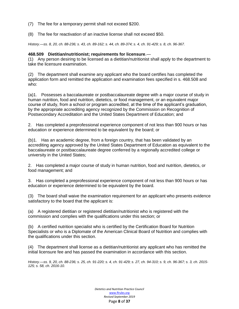(7) The fee for a temporary permit shall not exceed \$200.

(8) The fee for reactivation of an inactive license shall not exceed \$50.

*History.—ss. 8, 20, ch. 88-236; s. 43, ch. 89-162; s. 44, ch. 89-374; s. 4, ch. 91-429; s. 8, ch. 96-367.*

#### **468.509 Dietitian/nutritionist; requirements for licensure**.—

(1) Any person desiring to be licensed as a dietitian/nutritionist shall apply to the department to take the licensure examination.

(2) The department shall examine any applicant who the board certifies has completed the application form and remitted the application and examination fees specified in s. 468.508 and who:

(a)1. Possesses a baccalaureate or postbaccalaureate degree with a major course of study in human nutrition, food and nutrition, dietetics, or food management, or an equivalent major course of study, from a school or program accredited, at the time of the applicant's graduation, by the appropriate accrediting agency recognized by the Commission on Recognition of Postsecondary Accreditation and the United States Department of Education; and

2. Has completed a preprofessional experience component of not less than 900 hours or has education or experience determined to be equivalent by the board; or

(b)1. Has an academic degree, from a foreign country, that has been validated by an accrediting agency approved by the United States Department of Education as equivalent to the baccalaureate or postbaccalaureate degree conferred by a regionally accredited college or university in the United States;

2. Has completed a major course of study in human nutrition, food and nutrition, dietetics, or food management; and

3. Has completed a preprofessional experience component of not less than 900 hours or has education or experience determined to be equivalent by the board.

(3) The board shall waive the examination requirement for an applicant who presents evidence satisfactory to the board that the applicant is:

(a) A registered dietitian or registered dietitian/nutritionist who is registered with the commission and complies with the qualifications under this section; or

(b) A certified nutrition specialist who is certified by the Certification Board for Nutrition Specialists or who is a Diplomate of the American Clinical Board of Nutrition and complies with the qualifications under this section.

(4) The department shall license as a dietitian/nutritionist any applicant who has remitted the initial licensure fee and has passed the examination in accordance with this section.

*History.—ss. 9, 20, ch. 88-236; s. 25, ch. 91-220; s. 4, ch. 91-429; s. 27, ch. 94-310; s. 9, ch. 96-367; s. 3, ch. 2015- 125; s. 58, ch. 2016-10.*

> *Dietetics and Nutrition Practice Council*  [www.flrules.org](http://www.flrules.org/) *Revised September 2019* Page **8** of **37**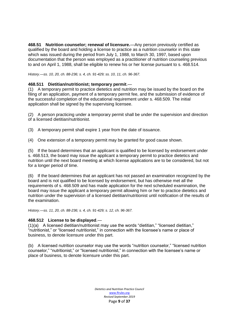**468.51 Nutrition counselor; renewal of licensure.**—Any person previously certified as qualified by the board and holding a license to practice as a nutrition counselor in this state which was issued during the period from July 1, 1988, to March 30, 1997, based upon documentation that the person was employed as a practitioner of nutrition counseling previous to and on April 1, 1988, shall be eligible to renew his or her license pursuant to s. 468.514.

*History.—ss. 10, 20, ch. 88-236; s. 4, ch. 91-429; ss. 10, 11, ch. 96-367.*

#### **468.511 Dietitian/nutritionist; temporary permit**.—

(1) A temporary permit to practice dietetics and nutrition may be issued by the board on the filing of an application, payment of a temporary permit fee, and the submission of evidence of the successful completion of the educational requirement under s. 468.509. The initial application shall be signed by the supervising licensee.

(2) A person practicing under a temporary permit shall be under the supervision and direction of a licensed dietitian/nutritionist.

(3) A temporary permit shall expire 1 year from the date of issuance.

(4) One extension of a temporary permit may be granted for good cause shown.

(5) If the board determines that an applicant is qualified to be licensed by endorsement under s. 468.513, the board may issue the applicant a temporary permit to practice dietetics and nutrition until the next board meeting at which license applications are to be considered, but not for a longer period of time.

(6) If the board determines that an applicant has not passed an examination recognized by the board and is not qualified to be licensed by endorsement, but has otherwise met all the requirements of s. 468.509 and has made application for the next scheduled examination, the board may issue the applicant a temporary permit allowing him or her to practice dietetics and nutrition under the supervision of a licensed dietitian/nutritionist until notification of the results of the examination.

*History.—ss. 11, 20, ch. 88-236; s. 4, ch. 91-429; s. 12, ch. 96-367.*

#### **468.512 License to be displayed**.—

(1)(a) A licensed dietitian/nutritionist may use the words "dietitian," "licensed dietitian," "nutritionist," or "licensed nutritionist," in connection with the licensee's name or place of business, to denote licensure under this part.

(b) A licensed nutrition counselor may use the words "nutrition counselor," "licensed nutrition counselor," "nutritionist," or "licensed nutritionist," in connection with the licensee's name or place of business, to denote licensure under this part.

> *Dietetics and Nutrition Practice Council*  [www.flrules.org](http://www.flrules.org/) *Revised September 2019* Page **9** of **37**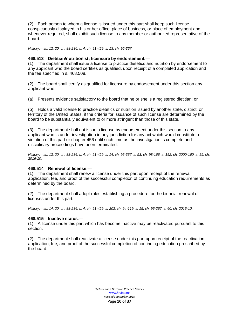(2) Each person to whom a license is issued under this part shall keep such license conspicuously displayed in his or her office, place of business, or place of employment and, whenever required, shall exhibit such license to any member or authorized representative of the board.

*History.—ss. 12, 20, ch. 88-236; s. 4, ch. 91-429; s. 13, ch. 96-367.*

#### **468.513 Dietitian/nutritionist; licensure by endorsement.**—

(1) The department shall issue a license to practice dietetics and nutrition by endorsement to any applicant who the board certifies as qualified, upon receipt of a completed application and the fee specified in s. 468.508.

(2) The board shall certify as qualified for licensure by endorsement under this section any applicant who:

(a) Presents evidence satisfactory to the board that he or she is a registered dietitian; or

(b) Holds a valid license to practice dietetics or nutrition issued by another state, district, or territory of the United States, if the criteria for issuance of such license are determined by the board to be substantially equivalent to or more stringent than those of this state.

(3) The department shall not issue a license by endorsement under this section to any applicant who is under investigation in any jurisdiction for any act which would constitute a violation of this part or chapter 456 until such time as the investigation is complete and disciplinary proceedings have been terminated.

*History.—ss. 13, 20, ch. 88-236; s. 4, ch. 91-429; s. 14, ch. 96-367; s. 93, ch. 98-166; s. 152, ch. 2000-160; s. 59, ch. 2016-10.*

#### **468.514 Renewal of license**.—

(1) The department shall renew a license under this part upon receipt of the renewal application, fee, and proof of the successful completion of continuing education requirements as determined by the board.

(2) The department shall adopt rules establishing a procedure for the biennial renewal of licenses under this part.

*History.—ss. 14, 20, ch. 88-236; s. 4, ch. 91-429; s. 202, ch. 94-119; s. 15, ch. 96-367; s. 60, ch. 2016-10.*

#### **468.515 Inactive status**.—

(1) A license under this part which has become inactive may be reactivated pursuant to this section.

(2) The department shall reactivate a license under this part upon receipt of the reactivation application, fee, and proof of the successful completion of continuing education prescribed by the board.

> *Dietetics and Nutrition Practice Council*  [www.flrules.org](http://www.flrules.org/) *Revised September 2019* Page **10** of **37**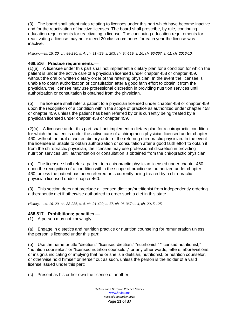(3) The board shall adopt rules relating to licenses under this part which have become inactive and for the reactivation of inactive licenses. The board shall prescribe, by rule, continuing education requirements for reactivating a license. The continuing education requirements for reactivating a license may not exceed 20 classroom hours for each year the license was inactive.

*History.—ss. 15, 20, ch. 88-236; s. 4, ch. 91-429; s. 203, ch. 94-119; s. 16, ch. 96-367; s. 61, ch. 2016-10.*

#### **468.516 Practice requirements**.—

(1)(a) A licensee under this part shall not implement a dietary plan for a condition for which the patient is under the active care of a physician licensed under chapter 458 or chapter 459, without the oral or written dietary order of the referring physician. In the event the licensee is unable to obtain authorization or consultation after a good faith effort to obtain it from the physician, the licensee may use professional discretion in providing nutrition services until authorization or consultation is obtained from the physician.

(b) The licensee shall refer a patient to a physician licensed under chapter 458 or chapter 459 upon the recognition of a condition within the scope of practice as authorized under chapter 458 or chapter 459, unless the patient has been referred by or is currently being treated by a physician licensed under chapter 458 or chapter 459.

(2)(a) A licensee under this part shall not implement a dietary plan for a chiropractic condition for which the patient is under the active care of a chiropractic physician licensed under chapter 460, without the oral or written dietary order of the referring chiropractic physician. In the event the licensee is unable to obtain authorization or consultation after a good faith effort to obtain it from the chiropractic physician, the licensee may use professional discretion in providing nutrition services until authorization or consultation is obtained from the chiropractic physician.

(b) The licensee shall refer a patient to a chiropractic physician licensed under chapter 460 upon the recognition of a condition within the scope of practice as authorized under chapter 460, unless the patient has been referred or is currently being treated by a chiropractic physician licensed under chapter 460.

(3) This section does not preclude a licensed dietitian/nutritionist from independently ordering a therapeutic diet if otherwise authorized to order such a diet in this state.

*History.—ss. 16, 20, ch. 88-236; s. 4, ch. 91-429; s. 17, ch. 96-367; s. 4, ch. 2015-125.*

#### **468.517 Prohibitions; penalties**.—

(1) A person may not knowingly:

(a) Engage in dietetics and nutrition practice or nutrition counseling for remuneration unless the person is licensed under this part;

(b) Use the name or title "dietitian," "licensed dietitian," "nutritionist," "licensed nutritionist," "nutrition counselor," or "licensed nutrition counselor," or any other words, letters, abbreviations, or insignia indicating or implying that he or she is a dietitian, nutritionist, or nutrition counselor, or otherwise hold himself or herself out as such, unless the person is the holder of a valid license issued under this part;

(c) Present as his or her own the license of another;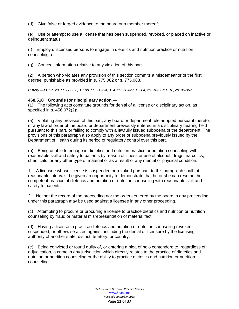(d) Give false or forged evidence to the board or a member thereof;

(e) Use or attempt to use a license that has been suspended, revoked, or placed on inactive or delinquent status;

(f) Employ unlicensed persons to engage in dietetics and nutrition practice or nutrition counseling; or

(g) Conceal information relative to any violation of this part.

(2) A person who violates any provision of this section commits a misdemeanor of the first degree, punishable as provided in s. 775.082 or s. 775.083.

*History.—ss. 17, 20, ch. 88-236; s. 100, ch. 91-224; s. 4, ch. 91-429; s. 204, ch. 94-119; s. 18, ch. 96-367.*

#### **468.518 Grounds for disciplinary action**.—

(1) The following acts constitute grounds for denial of a license or disciplinary action, as specified in s. 456.072(2):

(a) Violating any provision of this part, any board or department rule adopted pursuant thereto, or any lawful order of the board or department previously entered in a disciplinary hearing held pursuant to this part, or failing to comply with a lawfully issued subpoena of the department. The provisions of this paragraph also apply to any order or subpoena previously issued by the Department of Health during its period of regulatory control over this part.

(b) Being unable to engage in dietetics and nutrition practice or nutrition counseling with reasonable skill and safety to patients by reason of illness or use of alcohol, drugs, narcotics, chemicals, or any other type of material or as a result of any mental or physical condition.

1. A licensee whose license is suspended or revoked pursuant to this paragraph shall, at reasonable intervals, be given an opportunity to demonstrate that he or she can resume the competent practice of dietetics and nutrition or nutrition counseling with reasonable skill and safety to patients.

2. Neither the record of the proceeding nor the orders entered by the board in any proceeding under this paragraph may be used against a licensee in any other proceeding.

(c) Attempting to procure or procuring a license to practice dietetics and nutrition or nutrition counseling by fraud or material misrepresentation of material fact.

(d) Having a license to practice dietetics and nutrition or nutrition counseling revoked, suspended, or otherwise acted against, including the denial of licensure by the licensing authority of another state, district, territory, or country.

(e) Being convicted or found guilty of, or entering a plea of nolo contendere to, regardless of adjudication, a crime in any jurisdiction which directly relates to the practice of dietetics and nutrition or nutrition counseling or the ability to practice dietetics and nutrition or nutrition counseling.

> *Dietetics and Nutrition Practice Council*  [www.flrules.org](http://www.flrules.org/) *Revised September 2019* Page **12** of **37**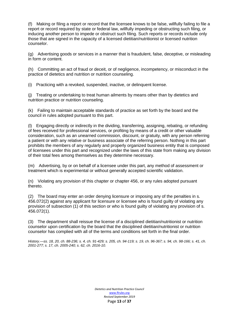(f) Making or filing a report or record that the licensee knows to be false, willfully failing to file a report or record required by state or federal law, willfully impeding or obstructing such filing, or inducing another person to impede or obstruct such filing. Such reports or records include only those that are signed in the capacity of a licensed dietitian/nutritionist or licensed nutrition counselor.

(g) Advertising goods or services in a manner that is fraudulent, false, deceptive, or misleading in form or content.

(h) Committing an act of fraud or deceit, or of negligence, incompetency, or misconduct in the practice of dietetics and nutrition or nutrition counseling.

(i) Practicing with a revoked, suspended, inactive, or delinquent license.

(j) Treating or undertaking to treat human ailments by means other than by dietetics and nutrition practice or nutrition counseling.

(k) Failing to maintain acceptable standards of practice as set forth by the board and the council in rules adopted pursuant to this part.

(l) Engaging directly or indirectly in the dividing, transferring, assigning, rebating, or refunding of fees received for professional services, or profiting by means of a credit or other valuable consideration, such as an unearned commission, discount, or gratuity, with any person referring a patient or with any relative or business associate of the referring person. Nothing in this part prohibits the members of any regularly and properly organized business entity that is composed of licensees under this part and recognized under the laws of this state from making any division of their total fees among themselves as they determine necessary.

(m) Advertising, by or on behalf of a licensee under this part, any method of assessment or treatment which is experimental or without generally accepted scientific validation.

(n) Violating any provision of this chapter or chapter 456, or any rules adopted pursuant thereto.

(2) The board may enter an order denying licensure or imposing any of the penalties in s. 456.072(2) against any applicant for licensure or licensee who is found guilty of violating any provision of subsection (1) of this section or who is found guilty of violating any provision of s. 456.072(1).

(3) The department shall reissue the license of a disciplined dietitian/nutritionist or nutrition counselor upon certification by the board that the disciplined dietitian/nutritionist or nutrition counselor has complied with all of the terms and conditions set forth in the final order.

*History.—ss. 18, 20, ch. 88-236; s. 4, ch. 91-429; s. 205, ch. 94-119; s. 19, ch. 96-367; s. 94, ch. 98-166; s. 41, ch. 2001-277; s. 17, ch. 2005-240; s. 62, ch. 2016-10.*

> *Dietetics and Nutrition Practice Council*  [www.flrules.org](http://www.flrules.org/) *Revised September 2019* Page **13** of **37**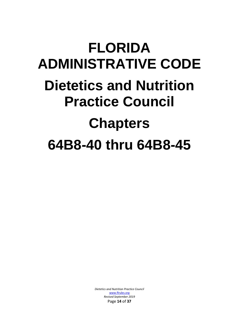## **FLORIDA ADMINISTRATIVE CODE Dietetics and Nutrition Practice Council Chapters 64B8-40 thru 64B8-45**

*Dietetics and Nutrition Practice Council*  [www.flrules.org](http://www.flrules.org/) *Revised September 2019* Page **14** of **37**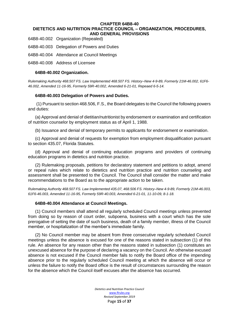#### **CHAPTER 64B8-40 DIETETICS AND NUTRITION PRACTICE COUNCIL ‒ ORGANIZATION, PROCEDURES, AND GENERAL PROVISIONS**

64B8-40.002 Organization (Repealed)

64B8-40.003 Delegation of Powers and Duties

64B8-40.004 Attendance at Council Meetings

64B8-40.008 Address of Licensee

#### **64B8-40.002 Organization.**

*Rulemaking Authority 468.507 FS. Law Implemented 468.507 FS. History–New 4-9-89, Formerly 21M-46.002, 61F6- 46.002, Amended 11-16-95, Formerly 59R-40.002, Amended 6-21-01, Repeaed 6-5-14.*

#### **64B8-40.003 Delegation of Powers and Duties.**

(1) Pursuant to section 468.506, F.S., the Board delegates to the Council the following powers and duties:

(a) Approval and denial of dietitian/nutritionist by endorsement or examination and certification of nutrition counselor by employment status as of April 1, 1988.

(b) Issuance and denial of temporary permits to applicants for endorsement or examination.

(c) Approval and denial of requests for exemption from employment disqualification pursuant to section 435.07, Florida Statutes.

(d) Approval and denial of continuing education programs and providers of continuing education programs in dietetics and nutrition practice.

(2) Rulemaking proposals, petitions for declaratory statement and petitions to adopt, amend or repeal rules which relate to dietetics and nutrition practice and nutrition counseling and assessment shall be presented to the Council. The Council shall consider the matter and make recommendations to the Board as to the appropriate action to be taken.

*Rulemaking Authority 468.507 FS. Law Implemented 435.07, 468.506 FS. History–New 4-9-89, Formerly 21M-46.003, 61F6-46.003, Amended 11-16-95, Formerly 59R-40.003, Amended 6-21-01, 11-10-09, 8-1-18.*

#### **64B8-40.004 Attendance at Council Meetings.**

(1) Council members shall attend all regularly scheduled Council meetings unless prevented from doing so by reason of court order, subpoena, business with a court which has the sole prerogative of setting the date of such business, death of a family member, illness of the Council member, or hospitalization of the member's immediate family.

(2) No Council member may be absent from three consecutive regularly scheduled Council meetings unless the absence is excused for one of the reasons stated in subsection (1) of this rule. An absence for any reason other than the reasons stated in subsection (1) constitutes an unexcused absence for the purpose of declaring a vacancy on the Council. An otherwise excused absence is not excused if the Council member fails to notify the Board office of the impending absence prior to the regularly scheduled Council meeting at which the absence will occur or unless the failure to notify the Board office is the result of circumstances surrounding the reason for the absence which the Council itself excuses after the absence has occurred.

> *Dietetics and Nutrition Practice Council*  [www.flrules.org](http://www.flrules.org/) *Revised September 2019* Page **15** of **37**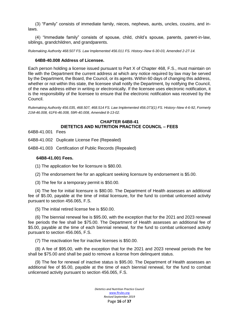(3) "Family" consists of immediate family, nieces, nephews, aunts, uncles, cousins, and inlaws.

(4) "Immediate family" consists of spouse, child, child's spouse, parents, parent-in-law, siblings, grandchildren, and grandparents.

*Rulemaking Authority 468.507 FS. Law Implemented 456.011 FS. History–New 6-30-03, Amended 2-27-14.*

#### **64B8-40.008 Address of Licensee.**

Each person holding a license issued pursuant to Part X of Chapter 468, F.S., must maintain on file with the Department the current address at which any notice required by law may be served by the Department, the Board, the Council, or its agents. Within 60 days of changing this address, whether or not within this state, the licensee shall notify the Department, by notifying the Council, of the new address either in writing or electronically. If the licensee uses electronic notification, it is the responsibility of the licensee to ensure that the electronic notification was received by the Council.

*Rulemaking Authority 456.035, 468.507, 468.514 FS. Law Implemented 456.073(1) FS. History–New 4-6-92, Formerly 21M-46.008, 61F6-46.008, 59R-40.008, Amended 8-13-02.*

### **CHAPTER 64B8-41 DIETETICS AND NUTRITION PRACTICE COUNCIL ‒ FEES**

64B8-41.001 Fees

64B8-41.002 Duplicate License Fee (Repealed)

64B8-41.003 Certification of Public Records (Repealed)

#### **64B8-41.001 Fees.**

(1) The application fee for licensure is \$80.00.

(2) The endorsement fee for an applicant seeking licensure by endorsement is \$5.00.

(3) The fee for a temporary permit is \$50.00.

(4) The fee for initial licensure is \$80.00. The Department of Health assesses an additional fee of \$5.00, payable at the time of initial licensure, for the fund to combat unlicensed activity pursuant to section 456.065, F.S.

(5) The initial retired license fee is \$50.00.

(6) The biennial renewal fee is \$95.00, with the exception that for the 2021 and 2023 renewal fee periods the fee shall be \$75.00. The Department of Health assesses an additional fee of \$5.00, payable at the time of each biennial renewal, for the fund to combat unlicensed activity pursuant to section 456.065, F.S.

(7) The reactivation fee for inactive licenses is \$50.00.

(8) A fee of \$95.00, with the exception that for the 2021 and 2023 renewal periods the fee shall be \$75.00 and shall be paid to remove a license from delinquent status.

(9) The fee for renewal of inactive status is \$95.00. The Department of Health assesses an additional fee of \$5.00, payable at the time of each biennial renewal, for the fund to combat unlicensed activity pursuant to section 456.065, F.S.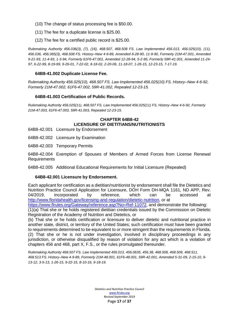- (10) The change of status processing fee is \$50.00.
- (11) The fee for a duplicate license is \$25.00.
- (12) The fee for a certified public record is \$25.00.

*Rulemaking Authority 456.036(3), (7), (16), 468.507, 468.508 FS. Law Implemented 456.013, 456.025(10), (11), 456.036, 456.065(3), 468.508 FS. History–New 4-9-89, Amended 8-28-90, 11-9-90, Formerly 21M-47.001, Amended 9-21-93, 11-4-93, 1-3-94, Formerly 61F6-47.001, Amended 12-28-94, 5-2-95, Formerly 59R-41.001, Amended 11-24- 97, 6-22-99, 8-19-99, 9-26-01, 7-22-02, 8-18-02, 2-20-06, 11-18-07, 1-26-15, 12-23-15, 7-17-19.*

#### **64B8-41.002 Duplicate License Fee.**

*Rulemaking Authority 456.025(10), 468.507 FS. Law Implemented 456.025(10) FS. History–New 4-6-92, Formerly 21M-47.002, 61F6-47.002, 59R-41.002, Repealed 12-23-15.*

#### **64B8-41.003 Certification of Public Records.**

*Rulemaking Authority 456.025(11), 468.507 FS. Law Implemented 456.025(11) FS. History–New 4-6-92, Formerly 21M-47.003, 61F6-47.003, 59R-41.003, Repealed 12-23-15.*

#### **CHAPTER 64B8-42 LICENSURE OF DIETITIANS/NUTRITIONISTS**

- 64B8-42.001 Licensure by Endorsement
- 64B8-42.002 Licensure by Examination
- 64B8-42.003 Temporary Permits

64B8-42.004 Exemption of Spouses of Members of Armed Forces from License Renewal Requirements

64B8-42.005 Additional Educational Requirements for Initial Licensure (Repealed)

#### **64B8-42.001 Licensure by Endorsement.**

Each applicant for certification as a dietitian/nutritionist by endorsement shall file the Dietetics and Nutrition Practice Council Application for Licensure, DOH Form DH-MQA 1161, ND APP, Rev. 04/2019, incorporated by reference, which can be accessed at [http://www.floridahealth.gov/licensing-and-regulation/dietetic-nutrition,](http://www.floridahealth.gov/licensing-and-regulation/dietetic-nutrition) or at

[https://www.flrules.org/Gateway/reference.asp?No=Ref-11072,](https://www.flrules.org/Gateway/reference.asp?No=Ref-11072) and demonstrate the following: (1)(a) That she or he holds registered dietitian credentials issued by the Commission on Dietetic Registration of the Academy of Nutrition and Dietetics, or

(b) That she or he holds certification or licensure to deliver dietetic and nutritional practice in another state, district, or territory of the United States; such certification must have been granted to requirements determined to be equivalent to or more stringent than the requirements in Florida. (2) That she or he is not under investigation, involved in disciplinary proceedings in any jurisdiction, or otherwise disqualified by reason of violation for any act which is a violation of chapters 456 and 468, part X, F.S., or the rules promulgated thereunder.

*Rulemaking Authority 468.507 FS. Law Implemented 456.013, 456.0635, 456.38, 468.508, 468.509, 468.511, 468.513 FS. History–New 4-9-89, Formerly 21M-48.001, 61F6-48.001, 59R-42.001, Amended 5-31-09, 2-15-10, 9- 13-12, 3-5-13, 1-26-15, 9-22-15, 8-10-16, 9-18-19.*

> *Dietetics and Nutrition Practice Council*  [www.flrules.org](http://www.flrules.org/) *Revised September 2019* Page **17** of **37**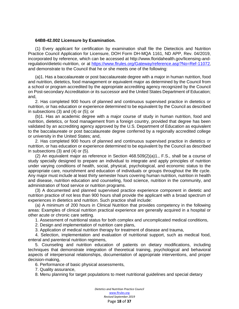#### **64B8-42.002 Licensure by Examination.**

(1) Every applicant for certification by examination shall file the Dietecticis and Nutrition Practice Council Application for Licensure, DOH Form DH-MQA 1161, ND APP, Rev. 04/2019, incorporated by reference, which can be accessed at http://www.floridahealth.gov/licensing-andregulation/dietetic-nutrition, or at <https://www.flrules.org/Gateway/reference.asp?No=Ref-11072>, and demonstrate to the Council that he or she meets one of the following:

(a)1. Has a baccalaureate or post baccalaureate degree with a major in human nutrition, food and nutrition, dietetics, food management or equivalent major as determined by the Council from a school or program accredited by the appropriate accrediting agency recognized by the Council on Post-secondary Accreditation or its successor and the United States Department of Education; and,

2. Has completed 900 hours of planned and continuous supervised practice in dietetics or nutrition, or has education or experience determined to be equivalent by the Council as described in subsections (3) and (4) or (5); or

(b)1. Has an academic degree with a major course of study in human nutrition, food and nutrition, dietetics, or food management from a foreign country, provided that degree has been validated by an accrediting agency approved by the U.S. Department of Education as equivalent to the baccalaureate or post baccalaureate degree conferred by a regionally accredited college or university in the United States; and,

2. Has completed 900 hours of planned and continuous supervised practice in dietetics or nutrition, or has education or experience determined to be equivalent by the Council as described in subsections (3) and (4) or (5).

 $(2)$  An equivalent major as reference in Section  $468.509(2)(a)1$ ., F.S., shall be a course of study specially designed to prepare an individual to integrate and apply principles of nutrition under varying conditions of health, social, physical, psychological, and economic status to the appropriate care, nourishment and education of individuals or groups throughout the life cycle. Any major must include at least thirty semester hours covering human nutrition, nutrition in health and disease, nutrition education and counseling, food science, nutrition in the community, and administration of food service or nutrition programs.

(3) A documented and planned supervised practice experience component in dietetic and nutrition practice of not less than 900 hours shall provide the applicant with a broad spectrum of experiences in dietetics and nutrition. Such practice shall include:

(a) A minimum of 200 hours in Clinical Nutrition that provides competency in the following areas: Examples of clinical nutrition practical experience are generally acquired in a hospital or other acute or chronic care setting.

1. Assessment of nutritional status for both complex and uncomplicated medical conditions,

2. Design and implementation of nutrition care plans,

3. Application of medical nutrition therapy for treatment of disease and trauma,

4. Selection, implementation and evaluation of nutritional support, such as medical food, enteral and parenteral nutrition regimens,

5. Counseling and nutrition education of patients on dietary modifications, including techniques that demonstrate integration of theoretical training, psychological and behavioral aspects of interpersonal relationships, documentation of appropriate interventions, and proper decision-making,

6. Performance of basic physical assessments,

7. Quality assurance,

8. Menu planning for target populations to meet nutritional guidelines and special dietary

*Dietetics and Nutrition Practice Council*  [www.flrules.org](http://www.flrules.org/) *Revised September 2019* Page **18** of **37**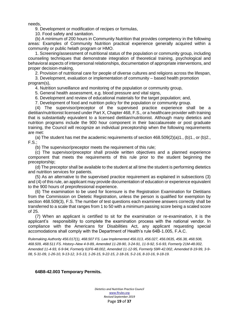needs,

9. Development or modification of recipes or formulas,

10. Food safety and sanitation.

(b) A minimum of 200 hours in Community Nutrition that provides competency in the following areas: Examples of Community Nutrition practical experience generally acquired within a community or public helath program or HMO.

1. Screening/assessment of nutritional status of the population or community group, including counseling techniques that demonstrate integration of theoretical training, psychological and behavioral aspects of interpersonal relationships, documentation of appropriate interventions, and proper decision-making,

2. Provision of nutritional care for people of diverse cultures and religions across the lifespan,

3. Development, evaluation or implementation of community – based health promotion program(s),

4. Nutrition surveillance and monitoring of the population or community group,

5. General health assessment, e.g. blood pressure and vital signs,

6. Development and review of educational materials for the target population; and,

7. Development of food and nutrition policy for the population or community group.

(4) The supervisor/preceptor of the supervised practice experience shall be a dietitian/nutritionist licensed under Part X, Chapter 468, F.S., or a healthcare provider with training that is substantially equivalent to a licensed dietitian/nutritionist. Although many dietetics and nutrition programs include the 900 hour component in their baccalaureate or post graduate training, the Council will recognize an individual preceptorship when the following requirements are met:

(a) The student has met the academic requirements of section  $468.509(2)(a)1$ ., (b)1., or (b)2., F.S.;

(b) The supervisor/preceptor meets the requirement of this rule;

(c) The supervisor/preceptor shall provide written objectives and a planned experience component that meets the requirements of this rule prior to the student beginning the preceptorship;

(d) The preceptor shall be available to the student at all time the student is performing dietetics and nutrition services for patients.

(5) As an alternative to the supervised practice requirement as explained in subsections (3) and (4) of this rule, an applicant may provide documentation of education or experience equivalent to the 900 hours of preprofessional experience.

(6) The examination to be used for licensure is the Registration Examination for Dietitians from the Commission on Dietetic Registration, unless the person is qualified for exemption by section 468.509(3), F.S. The number of test questions each examinee answers correctly shall be transferred to a scale that ranges from 1 to 50 with a minimum passing score being a scaled score of 25.

(7) When an applicant is certified to sit for the examination or re-examination, it is the applicant's responsibility to complete the examination process with the national vendor. In compliance with the Americans for Disabilities Act, any applicant requesting special accomodations shall comply with the Department of Health's rule 64B-1.005, F.A.C.

*Rulemaking Authority 456.017(1), 468.507 FS. Law Implemented 456.013, 456.027, 456.0635, 456.38, 468.508, 468.509, 468.511 FS. History–New 4-9-89, Amended 11-28-90, 3-24-91, 11-9-92, 5-6-93, Formerly 21M-48.002, Amended 11-4-93, 6-9-94, Formerly 61F6-48.002, Amended 11-12-95, Formerly 59R-42.002, Amended 8-19-99, 3-9- 08, 5-31-09, 1-26-10, 9-13-12, 3-5-13, 1-26-15, 9-22-15, 2-18-16, 5-2-16, 8-10-16, 9-18-19.*

**64B8-42.003 Temporary Permits.**

*Dietetics and Nutrition Practice Council*  [www.flrules.org](http://www.flrules.org/) *Revised September 2019* Page **19** of **37**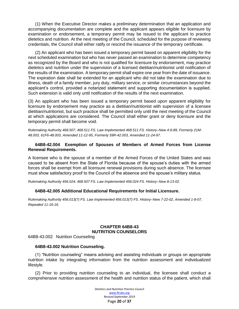(1) When the Executive Director makes a preliminary determination that an application and accompanying documentation are complete and the applicant appears eligible for licensure by examination or endorsement, a temporary permit may be issued to the applicant to practice dietetics and nutrition. At the next meeting of the Council, scheduled for the purpose of reviewing credentials, the Council shall either ratify or rescind the issuance of the temporary certificate.

(2) An applicant who has been issued a temporary permit based on apparent eligibility for the next scheduled examination but who has never passed an examination to determine competency as recognized by the Board and who is not qualified for licensure by endorsement, may practice dietetics and nutrition under the supervision of a licensed dietitian/nutritionist until notification of the results of the examination. A temporary permit shall expire one year from the date of issuance. The expiration date shall be extended for an applicant who did not take the examination due to illness, death of a family member, jury duty, military service, or similar circumstances beyond the applicant's control, provided a notarized statement and supporting documentation is supplied. Such extension is valid only until notification of the results of the next examination.

(3) An applicant who has been issued a temporary permit based upon apparent eligibility for licensure by endorsement may practice as a dietitian/nutritionist with supervision of a licensee dietitian/nutritionist, but such practice shall be permitted only until the next meeting of the Council at which applications are considered. The Council shall either grant or deny licensure and the temporary permit shall become void.

*Rulemaking Authority 468.507, 468.511 FS. Law Implemented 468.511 FS. History–New 4-9-89, Formerly 21M-48.003, 61F6-48.003, Amended 11-12-95, Formerly 59R-42.003, Amended 11-24-97.*

#### **64B8-42.004 Exemption of Spouses of Members of Armed Forces from License Renewal Requirements.**

A licensee who is the spouse of a member of the Armed Forces of the United States and was caused to be absent from the State of Florida because of the spouse's duties with the armed forces shall be exempt from all licensure renewal provisions during such absence. The licensee must show satisfactory proof to the Council of the absence and the spouse's military status.

*Rulemaking Authority 456.024, 468.507 FS. Law Implemented 456.024 FS. History–New 8-13-02.*

#### **64B8-42.005 Additional Educational Requirements for Initial Licensure.**

*Rulemaking Authority 456.013(7) FS. Law Implemented 456.013(7) FS. History–New 7-22-02, Amended 1-8-07, Repealed 11-16-16.*

#### **CHAPTER 64B8-43 NUTRITION COUNSELORS**

64B8-43.002 Nutrition Counseling

#### **64B8-43.002 Nutrition Counseling.**

(1) "Nutrition counseling" means advising and assisting individuals or groups on appropriate nutrition intake by integrating information from the nutrition assessment and individualized lifestyle.

(2) Prior to providing nutrition counseling to an individual, the licensee shall conduct a comprehensive nutrition assessment of the health and nutrition status of the patient, which shall

> *Dietetics and Nutrition Practice Council*  [www.flrules.org](http://www.flrules.org/) *Revised September 2019* Page **20** of **37**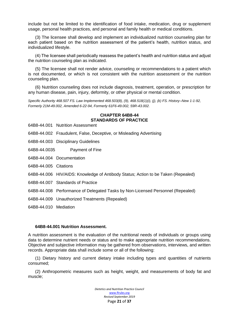include but not be limited to the identification of food intake, medication, drug or supplement usage, personal health practices, and personal and family health or medical conditions.

(3) The licensee shall develop and implement an individualized nutrition counseling plan for each patient based on the nutrition assessment of the patient's health, nutrition status, and individualized lifestyle.

(4) The licensee shall periodically reassess the patient's health and nutrition status and adjust the nutrition counseling plan as indicated.

(5) The licensee shall not render advice, counseling or recommendations to a patient which is not documented, or which is not consistent with the nutrition assessment or the nutrition counseling plan.

(6) Nutrition counseling does not include diagnosis, treatment, operation, or prescription for any human disease, pain, injury, deformity, or other physical or mental condition.

*Specific Authority 468.507 FS. Law Implemented 468.503(8), (9), 468.518(1)(i), (j), (k) FS. History–New 1-1-92, Formerly 21M-49.002, Amended 6-22-94, Formerly 61F6-49.002, 59R-43.002.*

#### **CHAPTER 64B8-44 STANDARDS OF PRACTICE**

- 64B8-44.001 Nutrition Assessment
- 64B8-44.002 Fraudulent, False, Deceptive, or Misleading Advertising
- 64B8-44.003 Disciplinary Guidelines
- 64B8-44.0035 Payment of Fine
- 64B8-44.004 Documentation
- 64B8-44.005 Citations
- 64B8-44.006 HIV/AIDS: Knowledge of Antibody Status; Action to be Taken (Repealed)
- 64B8-44.007 Standards of Practice
- 64B8-44.008 Performance of Delegated Tasks by Non-Licensed Personnel (Repealed)
- 64B8-44.009 Unauthorized Treatments (Repealed)
- 64B8-44.010 Mediation

#### **64B8-44.001 Nutrition Assessment.**

A nutrition assessment is the evaluation of the nutritional needs of individuals or groups using data to determine nutrient needs or status and to make appropriate nutrition recommendations. Objective and subjective information may be gathered from observations, interviews, and written records. Appropriate data shall include some or all of the following:

(1) Dietary history and current dietary intake including types and quantities of nutrients consumed;

(2) Anthropometric measures such as height, weight, and measurements of body fat and muscle;

> *Dietetics and Nutrition Practice Council*  [www.flrules.org](http://www.flrules.org/) *Revised September 2019* Page **21** of **37**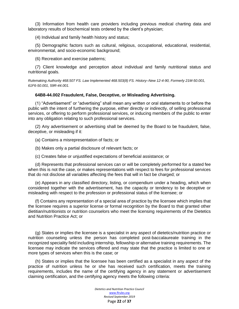(3) Information from health care providers including previous medical charting data and laboratory results of biochemical tests ordered by the client's physician;

(4) Individual and family health history and status;

(5) Demographic factors such as cultural, religious, occupational, educational, residential, environmental, and socio-economic background;

(6) Recreation and exercise patterns;

(7) Client knowledge and perception about individual and family nutritional status and nutritional goals.

*Rulemaking Authority 468.507 FS. Law Implemented 468.503(8) FS. History–New 12-4-90, Formerly 21M-50.001, 61F6-50.001, 59R-44.001.*

#### **64B8-44.002 Fraudulent, False, Deceptive, or Misleading Advertising.**

(1) "Advertisement" or "advertising" shall mean any written or oral statements to or before the public with the intent of furthering the purpose, either directly or indirectly, of selling professional services, or offering to perform professional services, or inducing members of the public to enter into any obligation relating to such professional services.

(2) Any advertisement or advertising shall be deemed by the Board to be fraudulent, false, deceptive, or misleading if it:

(a) Contains a misrepresentation of facts; or

(b) Makes only a partial disclosure of relevant facts; or

(c) Creates false or unjustified expectations of beneficial assistance; or

(d) Represents that professional services can or will be completely performed for a stated fee when this is not the case, or makes representations with respect to fees for professional services that do not disclose all variables affecting the fees that will in fact be charged; or

(e) Appears in any classified directory, listing, or compendium under a heading, which when considered together with the advertisement, has the capacity or tendency to be deceptive or misleading with respect to the profession or professional status of the licensee; or

(f) Contains any representation of a special area of practice by the licensee which implies that the licensee requires a superior license or formal recognition by the Board to that granted other dietitian/nutritionists or nutrition counselors who meet the licensing requirements of the Dietetics and Nutrition Practice Act; or

(g) States or implies the licensee is a specialist in any aspect of dietetics/nutrition practice or nutrition counseling unless the person has completed post-baccalaureate training in the recognized speciality field including internship, fellowship or alternative training requirements. The licensee may indicate the services offered and may state that the practice is limited to one or more types of services when this is the case; or

(h) States or implies that the licensee has been certified as a specialist in any aspect of the practice of nutrition unless he or she has received such certification, meets the training requirements, includes the name of the certifying agency in any statement or advertisement claiming certification, and the certifying agency meets the following criteria: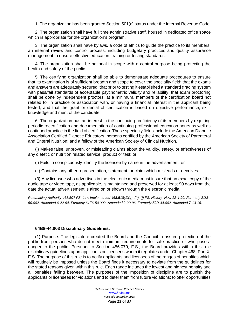1. The organization has been granted Section 501(c) status under the Internal Revenue Code.

2. The organization shall have full time administrative staff, housed in dedicated office space which is appropriate for the organization's program.

3. The organization shall have bylaws, a code of ethics to guide the practice to its members, an internal review and control process, including budgetary practices and quality assurance management to ensure effective education, training or testing standards.

4. The organization shall be national in scope with a central purpose being protecting the health and safety of the public.

5. The certifying organization shall be able to demonstrate adequate procedures to ensure that its examination is of sufficient breadth and scope to cover the speciality field; that the exams and answers are adequately secured; that prior to testing it established a standard grading system with pass/fail standards of acceptable psychometric validity and reliability; that exam proctoring shall be done by independent proctors, at a minimum, members of the certification board not related to, in practice or association with, or having a financial interest in the applicant being tested; and that the grant or denial of certification is based on objective performance, skill, knowledge and merit of the candidate.

6. The organization has an interest in the continuing proficiency of its members by requiring periodic recertification and documentation of continuing professional education hours as well as continued practice in the field of certification. These speciality fields include the American Diabetic Association Certified Diabetic Educators, persons certified by the American Society of Parenteral and Enteral Nutrition; and a fellow of the American Society of Clinical Nutrition.

(i) Makes false, unproven, or misleading claims about the validity, safety, or effectiveness of any dietetic or nutrition related service, product or test; or

(j) Fails to conspicuously identify the licensee by name in the advertisement; or

(k) Contains any other representation, statement, or claim which misleads or deceives.

(3) Any licensee who advertises in the electronic media must insure that an exact copy of the audio tape or video tape, as applicable, is maintained and preserved for at least 90 days from the date the actual advertisement is aired on or shown through the electronic media.

*Rulemaking Authority 468.507 FS. Law Implemented 468.518(1)(g), (h), (j) FS. History–New 12-4-90, Formerly 21M-50.002, Amended 6-22-94, Formerly 61F6-50.002, Amended 2-20-96, Formerly 59R-44.002, Amended 7-13-16.*

#### **64B8-44.003 Disciplinary Guidelines.**

(1) Purpose. The legislature created the Board and the Council to assure protection of the public from persons who do not meet minimum requirements for safe practice or who pose a danger to the public. Pursuant to Section 456.079, F.S., the Board provides within this rule disciplinary guidelines upon applicants or licensees whom it regulates under Chapter 468, Part X, F.S. The purpose of this rule is to notify applicants and licensees of the ranges of penalties which will routinely be imposed unless the Board finds it necessary to deviate from the guidelines for the stated reasons given within this rule. Each range includes the lowest and highest penalty and all penalties falling between. The purposes of the imposition of discipline are to punish the applicants or licensees for violations and to deter them from future violations; to offer opportunities

> *Dietetics and Nutrition Practice Council*  [www.flrules.org](http://www.flrules.org/) *Revised September 2019* Page **23** of **37**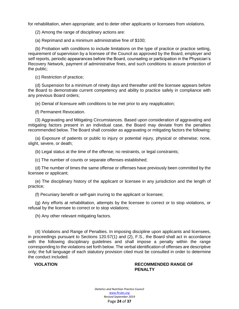for rehabilitation, when appropriate; and to deter other applicants or licensees from violations.

(2) Among the range of disciplinary actions are:

(a) Reprimand and a minimum administrative fine of \$100;

(b) Probation with conditions to include limitations on the type of practice or practice setting, requirement of supervision by a licensee of the Council as approved by the Board, employer and self reports, periodic appearances before the Board, counseling or participation in the Physician's Recovery Network, payment of administrative fines, and such conditions to assure protection of the public;

(c) Restriction of practice;

(d) Suspension for a minimum of ninety days and thereafter until the licensee appears before the Board to demonstrate current competency and ability to practice safely in compliance with any previous Board orders;

(e) Denial of licensure with conditions to be met prior to any reapplication;

(f) Permanent Revocation.

(3) Aggravating and Mitigating Circumstances. Based upon consideration of aggravating and mitigating factors present in an individual case, the Board may deviate from the penalties recommended below. The Board shall consider as aggravating or mitigating factors the following:

(a) Exposure of patients or public to injury or potential injury, physical or otherwise; none, slight, severe, or death;

(b) Legal status at the time of the offense; no restraints, or legal constraints;

(c) The number of counts or separate offenses established;

(d) The number of times the same offense or offenses have previously been committed by the licensee or applicant;

(e) The disciplinary history of the applicant or licensee in any jurisdiction and the length of practice;

(f) Pecuniary benefit or self-gain inuring to the applicant or licensee;

(g) Any efforts at rehabilitation, attempts by the licensee to correct or to stop violations, or refusal by the licensee to correct or to stop violations;

(h) Any other relevant mitigating factors.

(4) Violations and Range of Penalties. In imposing discipline upon applicants and licensees, in proceedings pursuant to Sections 120.57(1) and (2), F.S., the Board shall act in accordance with the following disciplinary guidelines and shall impose a penalty within the range corresponding to the violations set forth below. The verbal identification of offenses are descriptive only; the full language of each statutory provision cited must be consulted in order to determine the conduct included.

#### **VIOLATION RECOMMENDED RANGE OF PENALTY**

*Dietetics and Nutrition Practice Council*  [www.flrules.org](http://www.flrules.org/) *Revised September 2019* Page **24** of **37**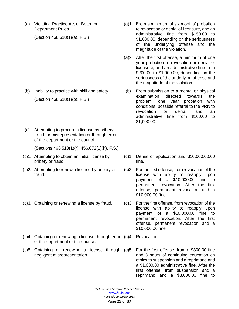(a) Violating Practice Act or Board or Department Rules.

(Section 468.518(1)(a), F.S.)

- (b) Inability to practice with skill and safety. (Section 468.518(1)(b), F.S.)
- (c) Attempting to procure a license by bribery, fraud, or misrepresentation or through error of the department or the council.

(Sections 468.518(1)(r), 456.072(1)(h), F.S.)

- (c)1. Attempting to obtain an initial license by bribery or fraud.
- (c)2. Attempting to renew a license by bribery or fraud.
- 
- (c)4. Obtaining or renewing a license through error (c)4. Revocation. of the department or the council.
- (c)5. Obtaining or renewing a license through (c)5. For the first offense, from a \$300.00 fine negligent misrepresentation.
- (a)1. From a minimum of six months' probation to revocation or denial of licensure, and an administrative fine from \$150.00 to \$1,000.00, depending on the seriousness of the underlying offense and the magnitude of the violation.
- (a)2. After the first offense, a minimum of one year probation to revocation or denial of licensure, and an administrative fine from \$200.00 to \$1,000.00, depending on the seriousness of the underlying offense and the magnitude of the violation.
- (b) From submission to a mental or physical examination directed towards the problem, one year probation with conditions, possible referral to the PRN to revocation or denial, and an administrative fine from \$100.00 to \$1,000.00.
- (c)1. Denial of application and \$10,000.00.00 fine.
- (c)2. For the first offense, from revocation of the license with ability to reapply upon payment of a \$10,000.00 fine to permanent revocation. After the first offense, permanent revocation and a \$10,000.00 fine.
- (c)3. Obtaining or renewing a license by fraud. (c)3. For the first offense, from revocation of the license with ability to reapply upon payment of a \$10,000.00 fine to permanent revocation. After the first offense, permanent revocation and a \$10,000.00 fine.
	- - and 3 hours of continuing education on ethics to suspension and a reprimand and a \$1,000.00 administrative fine. After the first offense, from suspension and a reprimand and a \$3,000.00 fine to

*Dietetics and Nutrition Practice Council*  [www.flrules.org](http://www.flrules.org/) *Revised September 2019* Page **25** of **37**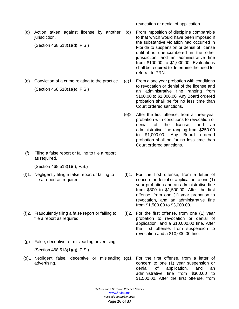revocation or denial of application.

(d) Action taken against license by another jurisdiction.

(Section 468.518(1)(d), F.S.)

(e) Conviction of a crime relating to the practice. (Section 468.518(1)(e), F.S.)

(f) Filing a false report or failing to file a report as required.

(Section 468.518(1)(f), F.S.)

- (f)1. Negligently filing a false report or failing to file a report as required.
- (f)2. Fraudulently filing a false report or failing to file a report as required.
- (g) False, deceptive, or misleading advertising. (Section 468.518(1)(g), F.S.)
- (g)1 Negligent false, deceptive or misleading (g)1. For the first offense, from a letter of . advertising.
- (d) From imposition of discipline comparable to that which would have been imposed if the substantive violation had occurred in Florida to suspension or denial of license until it is unencumbered in the other jurisdiction, and an administrative fine from \$100.00 to \$1,000.00. Evaluations shall be required to determine the need for referral to PRN.
- (e)1. From a one year probation with conditions to revocation or denial of the license and an administrative fine ranging from \$100.00 to \$1,000.00. Any Board ordered probation shall be for no less time than Court ordered sanctions.
- (e)2. After the first offense, from a three-year probation with conditions to revocation or denial of the license, and an administrative fine ranging from \$250.00 \$1,000.00. Any Board ordered probation shall be for no less time than Court ordered sanctions.
- (f)1. For the first offense, from a letter of concern or denial of application to one (1) year probation and an administrative fine from \$300 to \$1,500.00. After the first offense, from one (1) year probation to revocation, and an administrative fine from \$1,500.00 to \$3,000.00.
- (f)2. For the first offense, from one (1) year probation to revocation or denial of application, and a \$10,000.00 fine. After the first offense, from suspension to revocation and a \$10,000.00 fine.
- concern to one (1) year suspension or denial of application, and an administrative fine from \$300.00 to \$1,500.00. After the first offense, from

*Dietetics and Nutrition Practice Council* 

[www.flrules.org](http://www.flrules.org/)

*Revised September 2019* Page **26** of **37**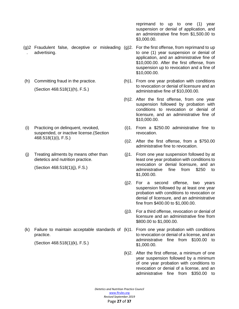- (g)2 Fraudulent false, deceptive or misleading (g)2. For the first offense, from reprimand to up . advertising.
- (h) Committing fraud in the practice. (Section 468.518(1)(h), F.S.)

- (i) Practicing on delinquent, revoked, suspended, or inactive license.(Section 468.518(1)(i), F.S.)
- (j) Treating ailments by means other than dietetics and nutrition practice.

(Section 468.518(1)(j), F.S.)

(k) Failure to maintain acceptable standards of (k)1. From one year probation with conditions practice.

(Section 468.518(1)(k), F.S.)

reprimand to up to one (1) year suspension or denial of application, and an administrative fine from \$1,500.00 to \$3,000.00.

- to one (1) year suspension or denial of application, and an administrative fine of \$10,000.00. After the first offense, from suspension up to revocation and a fine of \$10,000.00.
- (h)1. From one year probation with conditions to revocation or denial of licensure and an administrative fine of \$10,000.00.
- (h)2. After the first offense, from one year suspension followed by probation with conditions to revocation or denial of licensure, and an administrative fine of \$10,000.00.
- (i)1. From a \$250.00 administrative fine to revocation.
- (i)2. After the first offense, from a \$750.00 administrative fine to revocation.
- (j)1. From one year suspension followed by at least one year probation with conditions to revocation or denial licensure, and an administrative fine from \$250 to \$1,000.00.
- (j)2. For a second offense, two years suspension followed by at least one year probation with conditions to revocation or denial of licensure, and an administrative fine from \$400.00 to \$1,000.00.
- (j)3. For a third offense, revocation or denial of licensure and an administrative fine from \$800.00 to \$1,000.00.
- to revocation or denial of a license, and an administrative fine from \$100.00 to \$1,000.00.
- (k)2. After the first offense, a minimum of one year suspension followed by a minimum of one year probation with conditions to revocation or denial of a license, and an administrative fine from \$350.00 to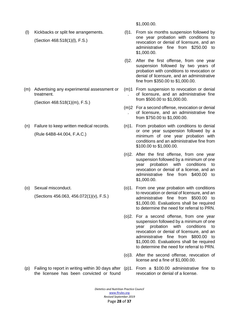(l) Kickbacks or split fee arrangements. (Section 468.518(1)(l), F.S.)

(m) Advertising any experimental assessment or treatment.

(Section 468.518(1)(m), F.S.)

(n) Failure to keep written medical records. (Rule 64B8-44.004, F.A.C.)

(o) Sexual misconduct.

(Sections 456.063, 456.072(1)(v), F.S.)

\$1,000.00.

- (l)1. From six months suspension followed by one year probation with conditions to revocation or denial of licensure, and an administrative fine from \$250.00 to \$1,000.00.
- (l)2. After the first offense, from one year suspension followed by two years of probation with conditions to revocation or denial of licensure, and an administrative fine from \$350.00 to \$1,000.00.
- (m)1 From suspension to revocation or denial . of licensure, and an administrative fine from \$500.00 to \$1,000.00.
- (m)2 For a second offense, revocation or denial . of licensure, and an administrative fine from \$750.00 to \$1,000.00.
- (n)1. From probation with conditions to denial or one year suspension followed by a minimum of one year probation with conditions and an administrative fine from \$100.00 to \$1,000.00.
- (n)2. After the first offense, from one year suspension followed by a minimum of one year probation with conditions to revocation or denial of a license, and an administrative fine from \$400.00 to \$1,000.00.
- (o)1. From one year probation with conditions to revocation or denial of licensure, and an administrative fine from \$500.00 to \$1,000.00. Evaluations shall be required to determine the need for referral to PRN.
- (o)2. For a second offense, from one year suspension followed by a minimum of one year probation with conditions to revocation or denial of licensure, and an administrative fine from \$800.00 to \$1,000.00. Evaluations shall be required to determine the need for referral to PRN.
- (o)3. After the second offense, revocation of license and a fine of \$1,000.00.
- (p) Failing to report in writing within 30 days after (p)1. From a \$100.00 administrative fine to the licensee has been convicted or found
- revocation or denial of a license.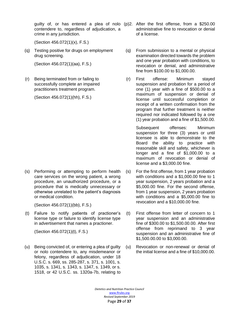guilty of, or has entered a plea of nolo (p)2. After the first offense, from a \$250.00 contendere to, regardless of adjudication, a crime in any jurisdiction.

(Section 456.072(1)(x), F.S.)

(q) Testing positive for drugs on employment drug screening.

(Section 456.072(1)(aa), F.S.)

(r) Being terminated from or failing to successfully complete an impaired practitioners treatment program.

(Section 456.072(1)(hh), F.S.)

(s) Performing or attempting to perform health care services on the wrong patient, a wrong procedure, an unauthorized procedure, or a procedure that is medically unnecessary or otherwise unrelated to the patient's diagnosis or medical condition.

(Section 456.072(1)(bb), F.S.)

(t) Failure to notify patients of practioner's license type or failure to identify license type in advertisement that names a practioner.

(Section 456.072(1)(t), F.S.)

(u) Being convicted of, or entering a plea of guilty or nolo contendere to, any misdemeanor or felony, regardless of adjudication, under 18 U.S.C. s. 669, ss. 285-287, s. 371, s. 1001, s. 1035, s. 1341, s. 1343, s. 1347, s. 1349, or s. 1518, or 42 U.S.C. ss. 1320a-7b, relating to

- administrative fine to revocation or denial of a license.
- (q) From submission to a mental or physical examination directed towards the problem and one year probation with conditions, to revocation or denial, and administrative fine from \$100.00 to \$1,000.00.
- (r) First offense: Minimum stayed suspension and probation for a period of one (1) year with a fine of \$500.00 to a maximum of suspension or denial of license until successful completion or receipt of a written confirmation from the program that further treatment is neither required nor indicated followed by a one (1) year probation and a fine of \$1,500.00.

Subsequent offenses: Minimum suspension for three (3) years or until licensee is able to demonstrate to the Board the ability to practice with reasonable skill and safety, whichever is longer and a fine of \$1,000.00 to a maximum of revocation or denial of license and a \$3,000.00 fine.

- (s) For the first offense, from 1 year probation with conditions and a \$1,000.00 fine to 1 year suspension, 2 years probation and a \$5,000.00 fine. For the second offense, from 1 year suspension, 2 years probation with conditions and a \$5,000.00 fine to revocation and a \$10,000.00 fine.
- (t) First offense from letter of concern to 1 year suspension and an administrative fine of \$300.00 to \$1,500.00.00. After first offense from reprimand to 3 year suspension and an administrative fine of \$1,500.00.00 to \$3,000.00.
- (u) Revocation or non-renewal or denial of the initial license and a fine of \$10,000.00.

*Dietetics and Nutrition Practice Council*  [www.flrules.org](http://www.flrules.org/) *Revised September 2019* Page **29** of **37**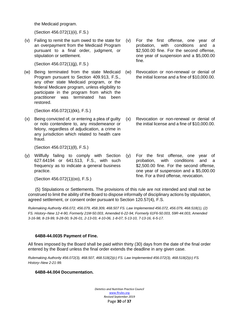the Medicaid program.

(Section 456.072(1)(ii), F.S.)

(v) Failing to remit the sum owed to the state for an overpayment from the Medicaid Program pursuant to a final order, judgment, or stipulation or settlement.

(Section 456.072(1)(jj), F.S.)

(w) Being terminated from the state Medicaid Program pursuant to Section 409.913, F.S., any other state Medicaid program, or the federal Medicare program, unless eligibility to participate in the program from which the practitioner was terminated has been restored.

(Section 456.072(1)(kk), F.S.)

(x) Being convicted of, or entering a plea of guilty or nolo contendere to, any misdemeanor or felony, regardless of adjudication, a crime in any jurisdiction which related to health care fraud.

(Section 456.072(1)(ll), F.S.)

(y) Willfully failing to comply with Section 627.64194 or 641.513, F.S., with such frequency as to indicate a general business practice.

(Section 456.072(1)(oo), F.S.)

- (v) For the first offense, one year of probation, with conditions and a \$2,500.00 fine. For the second offense, one year of suspension and a \$5,000.00 fine.
- (w) Revocation or non-renewal or denial of the initial license and a fine of \$10,000.00.

- (x) Revocation or non-renewal or denial of the initial license and a fine of \$10,000.00.
- (y) For the first offense, one year of probation, with conditions and a \$2,500.00 fine. For the second offense, one year of suspension and a \$5,000.00 fine. For a third offense, revocation.

(5) Stipulations or Settlements. The provisions of this rule are not intended and shall not be construed to limit the ability of the Board to dispose informally of disciplinary actions by stipulation, agreed settlement, or consent order pursuant to Section 120.57(4), F.S.

*Rulemaking Authority 456.072, 456.079, 458.309, 468.507 FS. Law Implemented 456.072, 456.079, 468.518(1), (2) FS. History–New 12-4-90, Formerly 21M-50.003, Amended 6-22-94, Formerly 61F6-50.003, 59R-44.003, Amended 3-16-98, 8-19-99, 9-28-00, 9-26-01, 2-13-03, 4-10-06, 1-8-07, 5-13-10, 7-13-16, 6-5-17.*

#### **64B8-44.0035 Payment of Fine.**

All fines imposed by the Board shall be paid within thirty (30) days from the date of the final order entered by the Board unless the final order extends the deadline in any given case.

*Rulemaking Authority 456.072(3), 468.507, 468.518(2)(c) FS. Law Implemented 456.072(3), 468.518(2)(c) FS. History–New 2-21-99.*

#### **64B8-44.004 Documentation.**

*Dietetics and Nutrition Practice Council*  [www.flrules.org](http://www.flrules.org/) *Revised September 2019* Page **30** of **37**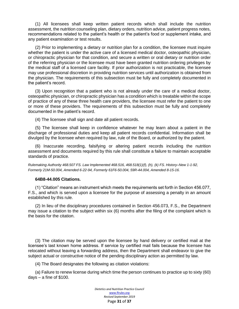(1) All licensees shall keep written patient records which shall include the nutrition assessment, the nutrition counseling plan, dietary orders, nutrition advice, patient progress notes, recommendations related to the patient's health or the patient's food or supplement intake, and any patient examination or test results.

(2) Prior to implementing a dietary or nutrition plan for a condition, the licensee must inquire whether the patient is under the active care of a licensed medical doctor, osteopathic physician, or chiropractic physician for that condition, and secure a written or oral dietary or nutrition order of the referring physician or the licensee must have been granted nutrition ordering privileges by the medical staff of a licensed care facility. If prior authorization is not practicable, the licensee may use professional discretion in providing nutrition services until authorization is obtained from the physician. The requirements of this subsection must be fully and completely documented in the patient's record.

(3) Upon recognition that a patient who is not already under the care of a medical doctor, osteopathic physician, or chiropractic physician has a condition which is treatable within the scope of practice of any of these three health care providers, the licensee must refer the patient to one or more of these providers. The requirements of this subsection must be fully and completely documented in the patient's record.

(4) The licensee shall sign and date all patient records.

(5) The licensee shall keep in confidence whatever he may learn about a patient in the discharge of professional duties and keep all patient records confidential. Information shall be divulged by the licensee when required by law, rule of the Board, or authorized by the patient.

(6) Inaccurate recording, falsifying or altering patient records including the nutrition assessment and documents required by this rule shall constitute a failure to maintain acceptable standards of practice.

*Rulemaking Authority 468.507 FS. Law Implemented 468.516, 468.518(1)(f), (h), (k) FS. History–New 1-1-92, Formerly 21M-50.004, Amended 6-22-94, Formerly 61F6-50.004, 59R-44.004, Amended 8-15-16.*

#### **64B8-44.005 Citations.**

(1) "Citation" means an instrument which meets the requirements set forth in Section 456.077, F.S., and which is served upon a licensee for the purpose of assessing a penalty in an amount established by this rule.

(2) In lieu of the disciplinary procedures contained in Section 456.073, F.S., the Department may issue a citation to the subject within six (6) months after the filing of the complaint which is the basis for the citation.

(3) The citation may be served upon the licensee by hand delivery or certified mail at the licensee's last known home address. If service by certified mail fails because the licensee has relocated without leaving a forwarding address, then the Department shall endeavor to give the subject actual or constructive notice of the pending disciplinary action as permitted by law.

(4) The Board designates the following as citation violations:

(a) Failure to renew license during which time the person continues to practice up to sixty (60) days  $-$  a fine of \$100.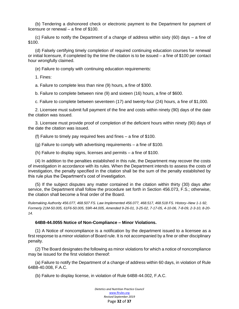(b) Tendering a dishonored check or electronic payment to the Department for payment of licensure or renewal – a fine of \$100.

(c) Failure to notify the Department of a change of address within sixty (60) days – a fine of \$100.

(d) Falsely certifying timely completion of required continuing education courses for renewal or initial licensure, if completed by the time the citation is to be issued – a fine of \$100 per contact hour wrongfully claimed.

(e) Failure to comply with continuing education requirements:

1. Fines:

a. Failure to complete less than nine (9) hours, a fine of \$300.

b. Failure to complete between nine (9) and sixteen (16) hours, a fine of \$600.

c. Failure to complete between seventeen (17) and twenty-four (24) hours, a fine of \$1,000.

2. Licensee must submit full payment of the fine and costs within ninety (90) days of the date the citation was issued.

3. Licensee must provide proof of completion of the deficient hours within ninety (90) days of the date the citation was issued.

(f) Failure to timely pay required fees and fines – a fine of \$100.

(g) Failure to comply with advertising requirements – a fine of \$100.

(h) Failure to display signs, licenses and permits – a fine of \$100.

(4) In addition to the penalties established in this rule, the Department may recover the costs of investigation in accordance with its rules. When the Department intends to assess the costs of investigation, the penalty specified in the citation shall be the sum of the penalty established by this rule plus the Department's cost of investigation.

(5) If the subject disputes any matter contained in the citation within thirty (30) days after service, the Department shall follow the procedure set forth in Section 456.073, F.S.; otherwise, the citation shall become a final order of the Board.

*Rulemaking Authority 456.077, 468.507 FS. Law Implemented 456.077, 468.517, 468.518 FS. History–New 1-1-92, Formerly 21M-50.005, 61F6-50.005, 59R-44.005, Amended 9-26-01, 3-25-02, 7-17-05, 4-10-06, 7-8-09, 2-3-10, 8-20- 14.*

#### **64B8-44.0055 Notice of Non-Compliance – Minor Violations.**

(1) A Notice of noncompliance is a notification by the department issued to a licensee as a first response to a minor violation of Board rule. It is not accompanied by a fine or other disciplinary penalty.

(2) The Board designates the following as minor violations for which a notice of noncompliance may be issued for the first violation thereof:

(a) Failure to notify the Department of a change of address within 60 days, in violation of Rule 64B8-40.008, F.A.C.

(b) Failure to display license, in violation of Rule 64B8-44.002, F.A.C.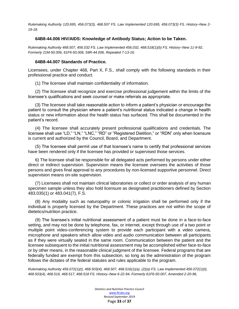*Rulemaking Authority 120.695, 456.073(3), 468.507 FS. Law Implemented 120.695, 456.073(3) FS. History–New 2- 19-18.*

#### **64B8-44.006 HIV/AIDS: Knowledge of Antibody Status; Action to be Taken.**

*Rulemaking Authority 468.507, 456.032 FS. Law Implemented 456.032, 468.518(1)(b) FS. History–New 11-9-92, Formerly 21M-50.006, 61F6-50.006, 59R-44.006, Repealed 7-13-16.*

#### **64B8-44.007 Standards of Practice.**

Licensees, under Chapter 468, Part X, F.S., shall comply with the following standards in their professional practice and conduct.

(1) The licensee shall maintain confidentiality of information.

(2) The licensee shall recognize and exercise professional judgement within the limits of the licensee's qualifications and seek counsel or make referrals as appropriate.

(3) The licensee shall take reasonable action to inform a patient's physician or encourage the patient to consult the physician where a patient's nutritional status indicated a change in health status or new information about the health status has surfaced. This shall be documented in the patient's record.

(4) The licensee shall accurately present professional qualifications and credentials. The licensee shall use "LD," "LN," "LNC," "RD" or "Registered Dietition," or "RDN" only when licensure is current and authorized by the Council, Board, and Department.

(5) The licensee shall permit use of that licensee's name to certify that professional services have been rendered only if the licensee has provided or supervised those services.

6) The licensee shall be responsible for all delegated acts performed by persons under either direct or indirect supervision. Supervision means the licensee oversees the activities of those persons and gives final approval to any procedures by non-licensed supportive personnel. Direct supervision means on-site supervision.

(7) Licensees shall not maintain clinical laboratories or collect or order analysis of any human specimen sample unless they also hold licensure as designated practitioners defined by Section 483.035(1) or 483.041(7), F.S.

(8) Any modality such as naturopathy or colonic irrigation shall be performed only if the individual is properly licensed by the Department. These practices are not within the scope of dietetics/nutrition practice.

(9) The licensee's initial nutritional assessment of a patient must be done in a face-to-face setting, and may not be done by telephone, fax, or internet, except through use of a two point or multiple point video-conferencing system to provide each participant with a video camera, microphone and speakers which allow video and audio communication between all participants as if they were virtually seated in the same room. Communication between the patient and the licensee subsequent to the initial nutritional assessment may be accomplished either face-to-face or by other means, in the reasonable clinical judgment of the licensee. Federal programs that are federally funded are exempt from this subsection, so long as the administration of the program follows the dictates of the federal statutes and rules applicable to the program.

*Rulemaking Authority 456.072(1)(t), 468.503(4), 468.507, 468.516(1)(a), (2)(a) FS. Law Implemented 456.072(1)(t), 468.503(4), 468.516, 468.517, 468.518 FS. History–New 6-22-94, Formerly 61F6-50.007, Amended 2-20-96,* 

> *Dietetics and Nutrition Practice Council*  [www.flrules.org](http://www.flrules.org/) *Revised September 2019* Page **33** of **37**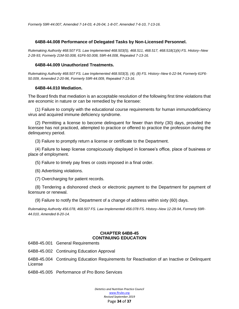#### **64B8-44.008 Performance of Delegated Tasks by Non-Licensed Personnel.**

*Rulemaking Authority 468.507 FS. Law Implemented 468.503(5), 468.511, 468.517, 468.518(1)(k) FS. History–New 2-28-93, Formerly 21M-50.008, 61F6-50.008, 59R-44.008, Repealed 7-13-16.*

#### **64B8-44.009 Unauthorized Treatments.**

*Rulemaking Authority 468.507 FS. Law Implemented 468.503(3), (4), (8) FS. History–New 6-22-94, Formerly 61F6- 50.009, Amended 2-20-96, Formerly 59R-44.009, Repealed 7-13-16.*

#### **64B8-44.010 Mediation.**

The Board finds that mediation is an acceptable resolution of the following first time violations that are economic in nature or can be remedied by the licensee:

(1) Failure to comply with the educational course requirements for human immunodeficiency virus and acquired immune deficiency syndrome.

(2) Permitting a license to become delinquent for fewer than thirty (30) days, provided the licensee has not practiced, attempted to practice or offered to practice the profession during the delinquency period.

(3) Failure to promptly return a license or certificate to the Department.

(4) Failure to keep license conspicuously displayed in licensee's office, place of business or place of employment.

(5) Failure to timely pay fines or costs imposed in a final order.

(6) Advertising violations.

(7) Overcharging for patient records.

(8) Tendering a dishonored check or electronic payment to the Department for payment of licensure or renewal.

(9) Failure to notify the Department of a change of address within sixty (60) days.

*Rulemaking Authority 456.078, 468.507 FS. Law Implemented 456.078 FS. History–New 12-28-94, Formerly 59R-44.010, Amended 8-20-14.*

#### **CHAPTER 64B8-45 CONTINUING EDUCATION**

64B8-45.001 General Requirements

64B8-45.002 Continuing Education Approval

64B8-45.004 Continuing Education Requirements for Reactivation of an Inactive or Delinquent License

64B8-45.005 Performance of Pro Bono Services

*Dietetics and Nutrition Practice Council*  [www.flrules.org](http://www.flrules.org/) *Revised September 2019* Page **34** of **37**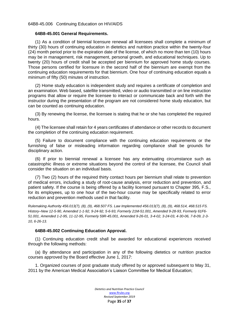#### 64B8-45.006 Continuing Education on HIV/AIDS

#### **64B8-45.001 General Requirements.**

(1) As a condition of biennial licensure renewal all licensees shall complete a minimum of thirty (30) hours of continuing education in dietetics and nutrition practice within the twenty-four (24) month period prior to the expiration date of the license, of which no more than ten (10) hours may be in management, risk management, personal growth, and educational techniques. Up to twenty (20) hours of credit shall be accepted per biennium for approved home study courses. Those persons certified for licensure in the second half of the biennium are exempt from the continuing education requirements for that biennium. One hour of continuing education equals a minimum of fifty (50) minutes of instruction.

(2) Home study education is independent study and requires a certificate of completion and an examination. Web based, satellite transmitted, video or audio transmitted or on line instruction programs that allow or require the licensee to interact or communicate back and forth with the instructor during the presentation of the program are not considered home study education, but can be counted as continuing education.

(3) By renewing the license, the licensee is stating that he or she has completed the required hours.

(4) The licensee shall retain for 4 years certificates of attendance or other records to document the completion of the continuing education requirement.

(5) Failure to document compliance with the continuing education requirements or the furnishing of false or misleading information regarding compliance shall be grounds for disciplinary action.

(6) If prior to biennial renewal a licensee has any extenuating circumstance such as catastrophic illness or extreme situations beyond the control of the licensee, the Council shall consider the situation on an individual basis.

(7) Two (2) hours of the required thirty contact hours per biennium shall relate to prevention of medical errors, including a study of root-cause analysis, error reduction and prevention, and patient safety. If the course is being offered by a facility licensed pursuant to Chapter 395, F.S., for its employees, up to one hour of the two-hour course may be specifically related to error reduction and prevention methods used in that facility.

*Rulemaking Authority 456.013(7), (8), (9), 468.507 FS. Law Implemented 456.013(7), (8), (9), 468.514, 468.515 FS. History–New 12-5-90, Amended 1-1-92, 9-24-92, 5-6-93, Formerly 21M-51.001, Amended 9-28-93, Formerly 61F6- 51.001, Amended 1-2-95, 11-12-95, Formerly 59R-45.001, Amended 9-26-01, 3-4-02, 3-24-03, 4-30-06, 7-8-09, 2-3- 10, 6-26-13.*

#### **64B8-45.002 Continuing Education Approval.**

(1) Continuing education credit shall be awarded for educational experiences received through the following methods:

(a) By attendance and participation in any of the following dietetics or nutrition practice courses approved by the Board effective June 1, 2017:

1. Organized courses of post graduate study offered by or approved subsequent to May 31, 2011 by the American Medical Association's Liaison Committee for Medical Education;

> *Dietetics and Nutrition Practice Council*  [www.flrules.org](http://www.flrules.org/) *Revised September 2019* Page **35** of **37**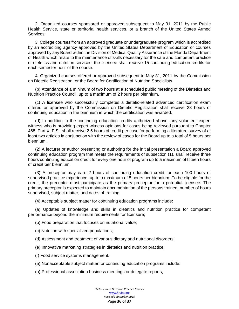2. Organized courses sponsored or approved subsequent to May 31, 2011 by the Public Health Service, state or territorial health services, or a branch of the United States Armed Services;

3. College courses from an approved graduate or undergraduate program which is accredited by an accrediting agency approved by the United States Department of Education or courses approved by any Board within the Division of Medical Quality Assurance of the Florida Department of Health which relate to the maintenance of skills necessary for the safe and competent practice of dietetics and nutrition services, the licensee shall receive 15 continuing education credits for each semester hour of the course.

4. Organized courses offered or approved subsequent to May 31, 2011 by the Commission on Dietetic Registration, or the Board for Certification of Nutrition Specialists.

(b) Attendance of a minimum of two hours at a scheduled public meeting of the Dietetics and Nutrition Practice Council, up to a maximum of 2 hours per biennium.

(c) A licensee who successfully completes a dietetic-related advanced certification exam offered or approved by the Commission on Dietetic Registration shall receive 28 hours of continuing education in the biennium in which the certification was awarded.

(d) In addition to the continuing education credits authorized above, any volunteer expert witness who is providing expert witness opinions for cases being reviewed pursuant to Chapter 468, Part X, F.S., shall receive 2.5 hours of credit per case for performing a literature survey of at least two articles in conjunction with the review of cases for the Board up to a total of 5 hours per biennium.

(2) A lecturer or author presenting or authoring for the initial presentation a Board approved continuing education program that meets the requirements of subsection (1), shall receive three hours continuing education credit for every one hour of program up to a maximum of fifteen hours of credit per biennium.

(3) A preceptor may earn 2 hours of continuing education credit for each 100 hours of supervised practice experience, up to a maximum of 8 hours per biennium. To be eligible for the credit, the preceptor must participate as the primary preceptor for a potential licensee. The primary preceptor is expected to maintain documentation of the persons trained, number of hours supervised, subject matter, and dates of training.

(4) Acceptable subject matter for continuing education programs include:

(a) Updates of knowledge and skills in dietetics and nutrition practice for competent performance beyond the minimum requirements for licensure;

(b) Food preparation that focuses on nutritional value;

(c) Nutrition with specialized populations;

(d) Assessment and treatment of various dietary and nutritional disorders;

- (e) Innovative marketing strategies in dietetics and nutrition practice;
- (f) Food service systems management.
- (5) Nonacceptable subject matter for continuing education programs include:
- (a) Professional association business meetings or delegate reports;

*Dietetics and Nutrition Practice Council*  [www.flrules.org](http://www.flrules.org/) *Revised September 2019* Page **36** of **37**